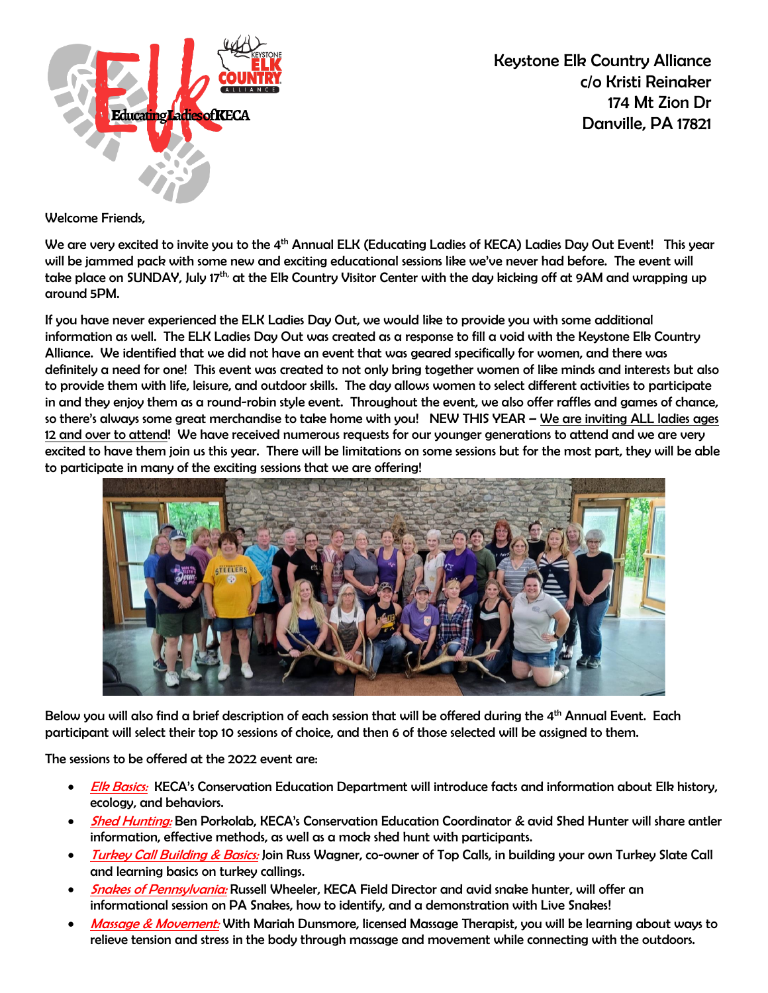

Keystone Elk Country Alliance c/o Kristi Reinaker 174 Mt Zion Dr Danville, PA 17821

Welcome Friends,

We are very excited to invite you to the 4<sup>th</sup> Annual ELK (Educating Ladies of KECA) Ladies Day Out Event! This year will be jammed pack with some new and exciting educational sessions like we've never had before. The event will take place on SUNDAY, July 17<sup>th,</sup> at the Elk Country Visitor Center with the day kicking off at 9AM and wrapping up around 5PM.

If you have never experienced the ELK Ladies Day Out, we would like to provide you with some additional information as well. The ELK Ladies Day Out was created as a response to fill a void with the Keystone Elk Country Alliance. We identified that we did not have an event that was geared specifically for women, and there was definitely a need for one! This event was created to not only bring together women of like minds and interests but also to provide them with life, leisure, and outdoor skills. The day allows women to select different activities to participate in and they enjoy them as a round-robin style event. Throughout the event, we also offer raffles and games of chance, so there's always some great merchandise to take home with you! NEW THIS YEAR – We are inviting ALL ladies ages 12 and over to attend! We have received numerous requests for our younger generations to attend and we are very excited to have them join us this year. There will be limitations on some sessions but for the most part, they will be able to participate in many of the exciting sessions that we are offering!



Below you will also find a brief description of each session that will be offered during the 4<sup>th</sup> Annual Event. Each participant will select their top 10 sessions of choice, and then 6 of those selected will be assigned to them.

The sessions to be offered at the 2022 event are:

- **Elk Basics:** KECA's Conservation Education Department will introduce facts and information about Elk history, ecology, and behaviors.
- **Shed Hunting:** Ben Porkolab, KECA's Conservation Education Coordinator & avid Shed Hunter will share antler information, effective methods, as well as a mock shed hunt with participants.
- Turkey Call Building & Basics: Join Russ Wagner, co-owner of Top Calls, in building your own Turkey Slate Call and learning basics on turkey callings.
- **Snakes of Pennsylvania: Russell Wheeler, KECA Field Director and avid snake hunter, will offer an** informational session on PA Snakes, how to identify, and a demonstration with Live Snakes!
- Massage & Movement: With Mariah Dunsmore, licensed Massage Therapist, you will be learning about ways to relieve tension and stress in the body through massage and movement while connecting with the outdoors.